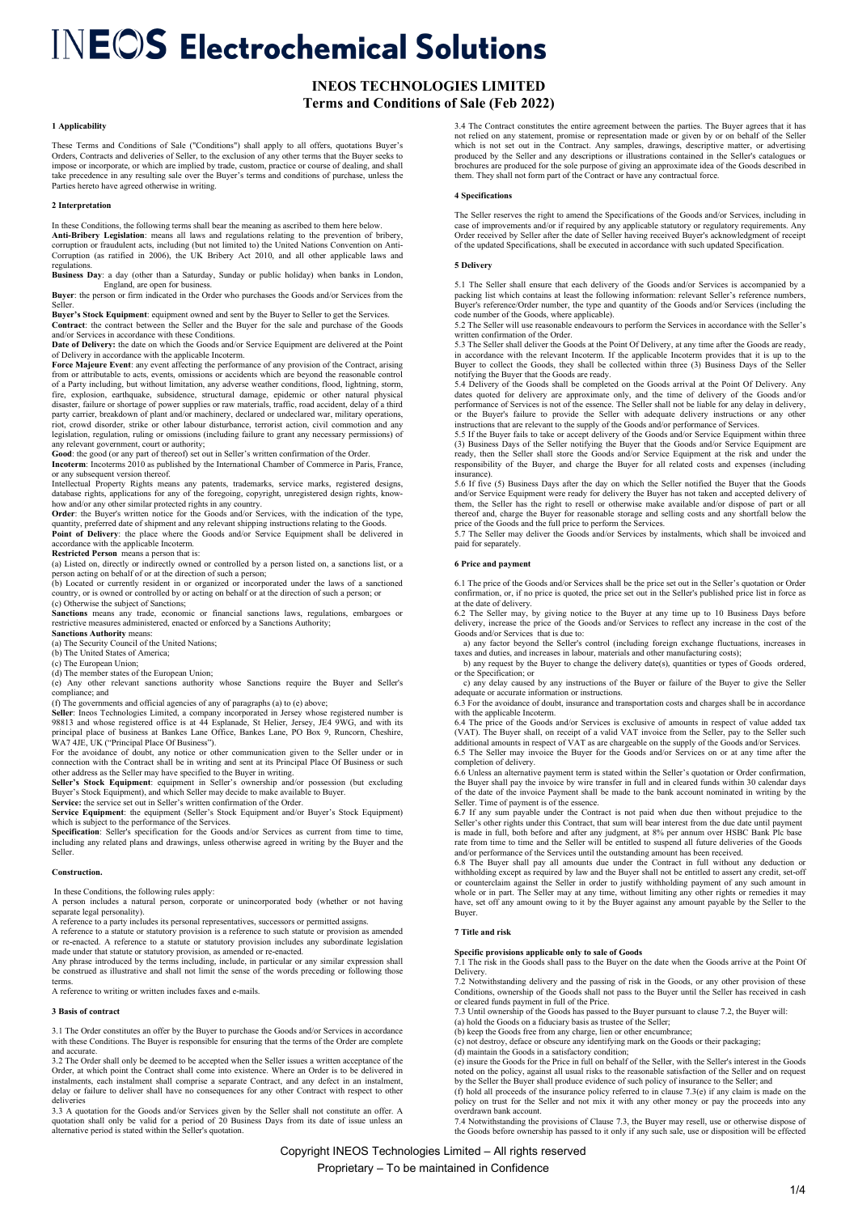# **INEOS TECHNOLOGIES LIMITED Terms and Conditions of Sale (Feb 2022)**

# **1 Applicability**

These Terms and Conditions of Sale ("Conditions") shall apply to all offers, quotations Buyer's Orders, Contracts and deliveries of Seller, to the exclusion of any other terms that the Buyer seeks to impose or incorporate, or which are implied by trade, custom, practice or course of dealing, and shall take precedence in any resulting sale over the Buyer's terms and conditions of purchase, unless the Parties hereto have agreed otherwise in writing.

### **2 Interpretation**

In these Conditions, the following terms shall bear the meaning as ascribed to them here below.

**Anti-Bribery Legislation**: means all laws and regulations relating to the prevention of bribery, corruption or fraudulent acts, including (but not limited to) the United Nations Convention on Anti-Corruption (as ratified in 2006), the UK Bribery Act 2010, and all other applicable laws and regulations.

**Business Day**: a day (other than a Saturday, Sunday or public holiday) when banks in London,

England, are open for business. **Buyer**: the person or firm indicated in the Order who purchases the Goods and/or Services from the Seller.

**Buyer's Stock Equipment**: equipment owned and sent by the Buyer to Seller to get the Services. **Contract**: the contract between the Seller and the Buyer for the sale and purchase of the Goods

and/or Services in accordance with these Conditions. **Date of Delivery:** the date on which the Goods and/or Service Equipment are delivered at the Point

of Delivery in accordance with the applicable Incoterm. **Force Majeure Event**: any event affecting the performance of any provision of the Contract, arising from or attributable to acts, events, omissions or accidents which are beyond the reasonable control of a Party including, but without limitation, any adverse weather conditions, flood, lightning, storm, fire, explosion, earthquake, subsidence, structural damage, epidemic or other natural physical disaster, failure or shortage of power supplies or raw materials, traffic, road accident, delay of a third party carrier, breakdown of plant and/or machinery, declared or undeclared war, military operations,<br>riot, crowd disorder, strike or other labour disturbance, terrorist action, civil commotion and any<br>legislation, regulati

any relevant government, court or authority; **Good**: the good (or any part of thereof) set out in Seller's written confirmation of the Order. **Incoterm**: Incoterms 2010 as published by the International Chamber of Commerce in Paris, France, or any subsequent version thereof.

Intellectual Property Rights means any patents, trademarks, service marks, registered designs, database rights, applications for any of the foregoing, copyright, unregistered design rights, know-<br>how and/or any other simil

quantity, preferred date of shipment and any relevant shipping instructions relating to the Goods. **Point of Delivery**: the place where the Goods and/or Service Equipment shall be delivered in

accordance with the applicable Incoterm.<br>**Restricted Person** means a person that is:<br>(a) Listed on, directly or indirectly owned or controlled by a person listed on, a sanctions list, or a

person acting on behalf of or at the direction of such a person; (b) Located or currently resident in or organized or incorporated under the laws of a sanctioned

country, or is owned or controlled by or acting on behalf or at the direction of such a person; or (c) Otherwise the subject of Sanctions;

**Sanctions** means any trade, economic or financial sanctions laws, regulations, embargoes or restrictive measures administered, enacted or enforced by a Sanctions Authority; **Sanctions Authority** means:

(a) The Security Council of the United Nations;

(b) The United States of America;

(c) The European Union; (d) The member states of the European Union;

(e) Any other relevant sanctions authority whose Sanctions require the Buyer and Seller's

compliance; and<br>
(f) The governments and official agencies of any of paragraphs (a) to (e) above;<br>
Seller: Ineos Technologies Limited, a company incorporated in Jersey whose registered number is<br>
98813 and whose registered

WA7 4JE, UK ("Principal Place Of Business").<br>For the avoidance of doubt, any notice or other communication given to the Seller under or in<br>connection with the Contract shall be in writing and sent at its Principal Place Of

**Seller's Stock Equipment**: equipment in Seller's ownership and/or possession (but excluding<br>Buyer's Stock Equipment), and which Seller may decide to make available to Buyer.<br>**Service:** the service set out in Seller's writ

**Service Equipment**: the equipment (Seller's Stock Equipment and/or Buyer's Stock Equipment) which is subject to the performance of the Services.

**Specification**: Seller's specification for the Goods and/or Services as current from time to time, including any related plans and drawings, unless otherwise agreed in writing by the Buyer and the Seller.

# **Construction.**

In these Conditions, the following rules apply:

A person includes a natural person, corporate or unincorporated body (whether or not having separate legal personality).

A reference to a party includes its personal representatives, successors or permitted assigns.

A reference to a statute or statutory provision is a reference to such statute or provision as amended<br>or re-enacted. A reference to a statute or statutory provision includes any subordinate legislation<br>made under that sta

Any phrase introduced by the terms including, include, in particular or any similar expression shall be construed as illustrative and shall not limit the sense of the words preceding or following those terms.

A reference to writing or written includes faxes and e-mails.

### **3** Basis of contract

3.1 The Order constitutes an offer by the Buyer to purchase the Goods and/or Services in accordance with these Conditions. The Buyer is responsible for ensuring that the terms of the Order are complete and accurate.

3.2 The Order shall only be deemed to be accepted when the Seller issues a written acceptance of the Order, at which point the Contract shall come into existence. Where an Order is to be delivered in instalments, each instalment shall comprise a separate Contract, and any defect in an instalment, delay or failure to deliver shall have no consequences for any other Contract with respect to other deliveries

3.3 A quotation for the Goods and/or Services given by the Seller shall not constitute an offer. A quotation shall only be valid for a period of 20 Business Days from its date of issue unless an alternative period is stated within the Seller's quotation.

3.4 The Contract constitutes the entire agreement between the parties. The Buyer agrees that it has not relied on any statement, promise or representation made or given by or on behalf of the Seller<br>which is not set out in the Contract. Any samples, drawings, descriptive matter, or advertising<br>produced by the Seller and them. They shall not form part of the Contract or have any contractual force.

# **4 Specifications**

 The Seller reserves the right to amend the Specifications of the Goods and/or Services, including in case of improvements and/or if required by any applicable statutory or regulatory requirements. Any Order received by Seller after the date of Seller having received Buyer's acknowledgment of receipt of the updated Specifications, shall be executed in accordance with such updated Specification.

# **5 Delivery**

5.1 The Seller shall ensure that each delivery of the Goods and/or Services is accompanied by a packing list which contains at least the following information: relevant Seller's reference numbers, Buyer's reference/Order n

written confirmation of the Order.

5.3 The Seller shall deliver the Goods at the Point Of Delivery, at any time after the Goods are ready, in accordance with the relevant Incoterm. If the applicable Incoterm provides that it is up to the Buyer to collect the Goods, they shall be collected within three (3) Business Days of the Seller notifying the Buyer that the Goods are ready.

5.4 Delivery of the Goods shall be completed on the Goods arrival at the Point Of Delivery. Any dates quoted for delivery are approximate only, and the time of delivery of the Goods and/or performance of Services is not of the essence. The Seller shall not be liable for any delay in delivery, or the Buyer's failure to provide the Seller with adequate delivery instructions or any other<br>instructions that are relevant to the supply of the Goods and/or performance of Services.<br>5.5 If the Buyer fails to take or acce

(3) Business Days of the Seller notifying the Buyer that the Goods and/or Service Equipment are ready, then the Seller shall store the Goods and/or Service Equipment at the risk and under the responsibility of the Buyer, and charge the Buyer for all related costs and expenses (including urance)

5.6 If five (5) Business Days after the day on which the Seller notified the Buyer that the Goods and/or Service Equipment were ready for delivery the Buyer has not taken and accepted delivery of them, the Seller has the right to resell or otherwise make available and/or dispose of part or all<br>thereof and, charge the Buyer for reasonable storage and selling costs and any shortfall below the<br>price of the Goods and t

paid for separately.

### **6 Price and payment**

6.1 The price of the Goods and/or Services shall be the price set out in the Seller's quotation or Order confirmation, or, if no price is quoted, the price set out in the Seller's published price list in force as at the date of delivery.

6.2 The Seller may, by giving notice to the Buyer at any time up to 10 Business Days before delivery, increase the price of the Goods and/or Services to reflect any increase in the cost of the Goods and/or Services that is due to:

 a) any factor beyond the Seller's control (including foreign exchange fluctuations, increases in taxes and duties, and increases in labour, materials and other manufacturing costs);

b) any request by the Buyer to change the delivery date(s), quantities or types of Goods ordered, or the Specification; or c) any delay caused by any instructions of the Buyer or failure of the Buyer to give the Seller

adequate or accurate information or instructions. 6.3 For the avoidance of doubt, insurance and transportation costs and charges shall be in accordance

with the applicable Incoterm. 6.4 The price of the Goods and/or Services is exclusive of amounts in respect of value added tax

(VAT). The Buyer shall, on receipt of a valid VAT invoice from the Seller, pay to the Seller such (VAT). additional amounts in respect of VAT as are chargeable on the supply of the Goods and/or Services. 6.5 The Seller may invoice the Buyer for the Goods and/or Services on or at any time after the completion of delivery.

6.6 Unless an alternative payment term is stated within the Seller's quotation or Order confirmation, the Buyer shall pay the invoice by wire transfer in full and in cleared funds within 30 calendar days of the date of the invoice Payment shall be made to the bank account nominated in writing by the Seller. Time of payment is of the essence.

6.7 If any sum payable under the Contract is not paid when due then without prejudice to the Seller's other rights under this Contract, that sum will bear interest from the due date until payment is made in full, both before and after any judgment, at 8% per annum over HSBC Bank Plc base rate from time to time and the Seller will be entitled to suspend all future deliveries of the Goods

and/or performance of the Services until the outstanding amount has been received. 6.8 The Buyer shall pay all amounts due under the Contract in full without any deduction or withholding except as required by law and the Buyer shall not be entitled to assert any credit, set-off or counterclaim against the Seller in order to justify withholding payment of any such amount in vhole or in part. The Buyer.

### **7 Title and risk**

**Specific provisions applicable only to sale of Goods** 7.1 The risk in the Goods shall pass to the Buyer on the date when the Goods arrive at the Point Of Delivery.

7.2 Notwithstanding delivery and the passing of risk in the Goods, or any other provision of these Conditions, ownership of the Goods shall not pass to the Buyer until the Seller has received in cash

or cleared funds payment in full of the Price. 7.3 Until ownership of the Goods has passed to the Buyer pursuant to clause 7.2, the Buyer will:

(a) hold the Goods on a fiduciary basis as trustee of the Seller;

(b) keep the Goods free from any charge, lien or other encumbrance

(c) not destroy, deface or obscure any identifying mark on the Goods or their packaging; (d) maintain the Goods in a satisfactory condition;

(e) insure the Goods for the Price in full on behalf of the Seller, with the Seller's interest in the Goods

noted on the policy, against all usual risks to the reasonable satisfaction of the Seller and on request by the Seller the Buyer shall produce evidence of such policy of insurance to the Seller; and (f) hold all proceeds of the insurance policy referred to in clause 7.3(e) if any claim is made on the

policy on trust for the Seller and not mix it with any other money or pay the proceeds into any overdrawn bank account. 7.4 Notwithstanding the provisions of Clause 7.3, the Buyer may resell, use or otherwise dispose of

the Goods before ownership has passed to it only if any such sale, use or disposition will be effected

# Copyright INEOS Technologies Limited – All rights reserved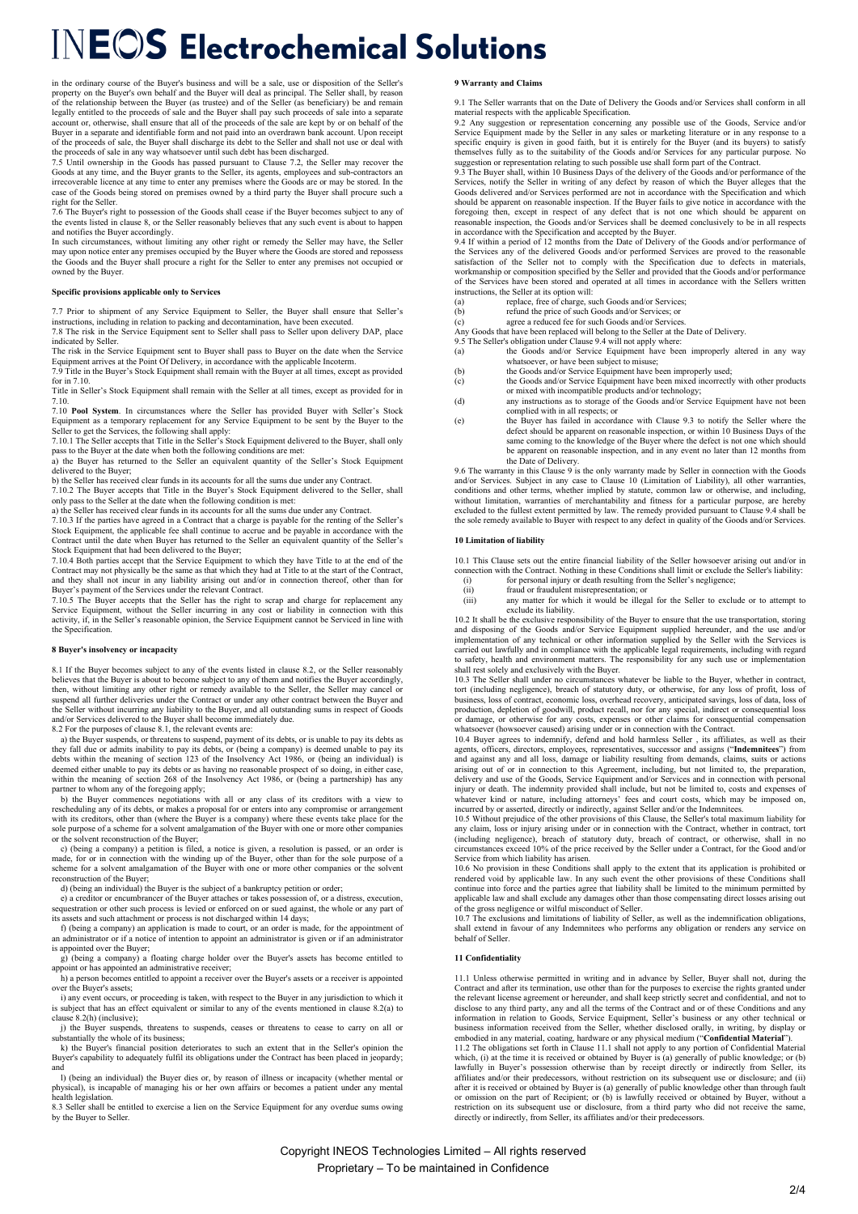in the ordinary course of the Buyer's business and will be a sale, use or disposition of the Seller's<br>property on the Buyer's own behalf and the Buyer will deal as principal. The Seller shall, by reason<br>of the relationship Buyer in a separate and identifiable form and not paid into an overdrawn bank account. Upon receipt of the proceeds of sale, the Buyer shall discharge its debt to the Seller and shall not use or deal with

of the proceeds of sale, the Buyer shall discharge its debt to the Seller and shall not use or deal with<br>the proceeds of sale in any way whatscover until such debt has been discharged.<br>7.5 Until ownership in the Goods has case of the Goods being stored on premises owned by a third party the Buyer shall procure such a right for the Seller.

7.6 The Buyer's right to possession of the Goods shall cease if the Buyer becomes subject to any of the events listed in clause 8, or the Seller reasonably believes that any such event is about to happen and notifies the Buyer accordingly.

In such circumstances, without limiting any other right or remedy the Seller may have, the Seller<br>may upon notice enter any premises occupied by the Buyer where the Goods are stored and repossess<br>the Goods and the Buyer sh owned by the Buyer

# **Specific provisions applicable only to Services**

7.7 Prior to shipment of any Service Equipment to Seller, the Buyer shall ensure that Seller's instructions, including in relation to packing and decontamination, have been executed. 7.8 The risk in the Service Equipment sent to Seller shall pass to Seller upon delivery DAP, place indicated by Seller.

The risk in the Service Equipment sent to Buyer shall pass to Buyer on the date when the Service Equipment arrives at the Point Of Delivery, in accordance with the applicable Incoterm.

7.9 Title in the Buyer's Stock Equipment shall remain with the Buyer at all times, except as provided for in 7.10.

Title in Seller's Stock Equipment shall remain with the Seller at all times, except as provided for in 7.10.

7.10 **Pool System**. In circumstances where the Seller has provided Buyer with Seller's Stock Equipment as a temporary replacement for any Service Equipment to be sent by the Buyer to the

Seller to get the Services, the following shall apply: 7.10.1 The Seller accepts that Title in the Seller's Stock Equipment delivered to the Buyer, shall only

pass to the Buyer at the date when both the following conditions are met: a) the Buyer has returned to the Seller an equivalent quantity of the Seller's Stock Equipment delivered to the Buyer;

b) the Seller has received clear funds in its accounts for all the sums due under any Contract. 7.10.2 The Buyer accepts that Title in the Buyer's Stock Equipment delivered to the Seller, shall

only pass to the Seller at the date when the following condition is met: a) the Seller has received clear funds in its accounts for all the sums due under any Contract.

7.10.3 If the parties have agreed in a Contract that a charge is payable for the renting of the Seller's Stock Equipment, the applicable fee shall continue to accrue and be payable in accordance with the Contract until the date when Buyer has returned to the Seller an equivalent quantity of the Seller's Stock Equipment that had been delivered to the Buyer;

7.10.4 Both parties accept that the Service Equipment to which they have Title to at the end of the<br>Contract may not physically be the same as that which they had at Title to at the start of the Contract,<br>and they shall no

Buyer's payment of the Services under the relevant Contract. 7.10.5 The Buyer accepts that the Seller has the right to scrap and charge for replacement any Service Equipment, without the Seller incurring in any cost or liability in connection with this activity, if, in the Seller's reasonable opinion, the Service Equipment cannot be Serviced in line with the Specification

# **8 Buyer's insolvency or incapacity**

8.1 If the Buyer becomes subject to any of the events listed in clause 8.2, or the Seller reasonably believes that the Buyer is about to become subject to any of them and notifies the Buyer accordingly, then, without limiting any other right or remedy available to the Seller, the Seller may cancel or<br>suspend all further deliveries under the Contract or under any other contract between the Buyer and<br>the Seller without incu and/or Services delivered to the Buyer shall become immediately due. 8.2 For the purposes of clause 8.1, the relevant events are:

 a) the Buyer suspends, or threatens to suspend, payment of its debts, or is unable to pay its debts as they fall due or admits inability to pay its debts, or (being a company) is deemed unable to pay its debts within the meaning of section 123 of the Insolvency Act 1986, or (being an individual) is deemed either unable to pay its debts or as having no reasonable prospect of so doing, in either case,

within the meaning of section 268 of the Insolvency Act 1986, or (being a partnership) has any partner to whom any of the foregoing apply;<br>b) the Buyer commences negotiations with all or any class of its creditors with a v sole purpose of a scheme for a solvent amalgamation of the Buyer with one or more other companies or the solvent reconstruction of the Buyer;

 c) (being a company) a petition is filed, a notice is given, a resolution is passed, or an order is made, for or in connection with the winding up of the Buyer, other than for the sole purpose of a scheme for a solvent amalgamation of the Buyer with one or more other companies or the solvent reconstruction of the Buyer;

 d) (being an individual) the Buyer is the subject of a bankruptcy petition or order; e) a creditor or encumbrancer of the Buyer attaches or takes possession of, or a distress, execution, sequestration or other such process is levied or enforced on or sued against, the whole or any part of

its assets and such attachment or process is not discharged within 14 days; f) (being a company) an application is made to court, or an order is made, for the appointment of an administrator or if a notice of intention to appoint an administrator is given or if an administrator and administrator.

is appointed over the Buyer; g) (being a company) a floating charge holder over the Buyer's assets has become entitled to appoint or has appointed an administrative receiver;

h) a person becomes entitled to appoint a receiver over the Buyer's assets or a receiver is appointed

over the Buyer's assets; i) any event occurs, or proceeding is taken, with respect to the Buyer in any jurisdiction to which it is subject that has an effect equivalent or similar to any of the events mentioned in clause 8.2(a) to clause 8.2(h) (inclusive);

 j) the Buyer suspends, threatens to suspends, ceases or threatens to cease to carry on all or antially the whole of its business

k) the Buyer's financial position deteriorates to such an extent that in the Seller's opinion the Buyer's capability to adequately fulfil its obligations under the Contract has been placed in jeopardy; and

 l) (being an individual) the Buyer dies or, by reason of illness or incapacity (whether mental or physical), is incapable of managing his or her own affairs or becomes a patient under any mental physical), is incal<br>health legislation.

8.3 Seller shall be entitled to exercise a lien on the Service Equipment for any overdue sums owing by the Buyer to Seller.

# **9 Warranty and Claims**

9.1 The Seller warrants that on the Date of Delivery the Goods and/or Services shall conform in all material respects with the applicable Specification.<br>
9.2 Any suggestion or representation concerning any possible use of the Goods. Service and/or

9.2 Any suggestion or representation concerning any possible use of the Goods, Service and/or Service Equipment made by the Seller in any sales or marketing literature or in any response to a specific enquiry is given in

9.3 The Buyer shall, within 10 Business Days of the delivery of the Goods and/or performance of the Services, notify the Seller in writing of any defect by reason of which the Buyer alleges that the Goods delivered and/or Services performed are not in accordance with the Specification and which should be apparent on reasonable inspection. If the Buyer fails to give notice in accordance with the foregoing then, except in respect of any defect that is not one which should be apparent on<br>reasonable inspection, the Goods and/or Services shall be deemed conclusively to be in all respects<br>in accordance with the Specifi

9.4 If within a period of 12 months from the Date of Delivery of the Goods and/or performance of the Services any of the delivered Goods and/or performed Services are proved to the reasonable<br>satisfaction of the Seller not to comply with the Specification due to defects in materials,<br>workmanship or composition specifi of the Services have been stored and operated at all times in accordance with the Sellers written instructions, the Seller at its option will:<br>(a) replace free of charge su

- (a) replace, free of charge, such Goods and/or Services; (b) refund the price of such Goods and/or Services; or
- (c) agree a reduced fee for such Goods and/or Services.
- Any Goods that have been replaced will belong to the Seller at the Date of Delivery.

- 9.5 The Seller's obligation under Clause 9.4 will not apply where:<br>(a) the Goods and/or Service Equipment have been improperly altered in any way whatsoever, or have been subject to misuse;
	- (b) the Goods and/or Service Equipment have been improperly used; (c) the Goods and/or Service Equipment have been mixed incorrectly with other products
	- or mixed with incompatible products and/or technology; (d) any instructions as to storage of the Goods and/or Service Equipment have not been
	-
	- complied with in all respects; or<br>
	(e) the Buyer has failed in accordance with Clause 9.3 to notify the Seller where the defect should be apparent on reasonable inspection, or within 10 Business Days of the same coming to the knowledge of the Buyer where the defect is not one which should be apparent on reasonable inspection, and in any event no later than 12 months from

the Date of Delivery. 9.6 The warranty in this Clause 9 is the only warranty made by Seller in connection with the Goods and/or Services. Subject in any case to Clause 10 (Limitation of Liability), all other warranties, conditions and other terms, whether implied by statute, common law or otherwise, and including, without limitation, warranties of merchantability and fitness for a particular purpose, are hereby excluded to the fullest extent permitted by law. The remedy provided pursuant to Clause 9.4 shall be the sole remedy available to Buyer with respect to any defect in quality of the Goods and/or Services.

#### **10 Limitation of liability**

10.1 This Clause sets out the entire financial liability of the Seller howsoever arising out and/or in connection with the Contract. Nothing in these Conditions shall limit or exclude the Seller's liability:<br>(i) for personal injury or death resulting from the Seller's negligence;

- 
- $(iii)$  fraud or fraudulent misrepresentation; or  $(iii)$  any matter for which it would be illeg
- any matter for which it would be illegal for the Seller to exclude or to attempt to any mater...

10.2 It shall be the exclusive responsibility of the Buyer to ensure that the use transportation, storing and disposing of the Goods and/or Service Equipment supplied hereunder, and the use and/or implementation of any tec carried out lawfully and in compliance with the applicable legal requirements, including with regard to safety, health and environment matters. The responsibility for any such use or implementation shall rest solely and exclusively with the Buyer.

10.3 The Seller shall under no circumstances whatever be liable to the Buyer, whether in contract, tort (including negligence), breach of statutory duty, or otherwise, for any loss of profit, loss of business, loss of contract, economic loss, overhead recovery, anticipated savings, loss of data, loss of production, depletion of goodwill, product recall, nor for any special, indirect or consequential loss or damage, or otherwise for any costs, expenses or other claims for consequential compensation whatsoever (howsoever caused) arising under or in connection with the Contract.

10.4 Buyer agrees to indemnify, defend and hold harmless Seller , its affiliates, as well as their agents, officers, directors, employees, representatives, successor and assigns ("**Indemnitees**") from and against any and all loss, damage or liability resulting from demands, claims, suits or actions arising out of or in connection to this Agreement, including, but not limited to, the preparation, delivery and use of the Goods, Service Equipment and/or Services and in connection with personal injury or death. The indemnity provided shall include, but not be limited to, costs and expenses of whatever kind or nature, including attorneys' fees and court costs, which may be imposed on, incurred by or asserted, directly or indirectly, against Seller and/or the Indemnitees.

10.5 Without prejudice of the other provisions of this Clause, the Seller's total maximum liability for any claim, loss or injury arising under or in connection with the Contract, whether in contract, tort (including negligence), breach of statutory duty, breach of contract, or otherwise, shall in no<br>circumstances exceed 10% of the price received by the Seller under a Contract, for the Good and/or<br>Service from which liabilit

10.6 No provision in these Conditions shall apply to the extent that its application is prohibited or rendered void by applicable law. In any such even the other provisions shall to conditions shall be conditioned in conti

of the gross negligence or wilful misconduct of Seller. 10.7 The exclusions and limitations of liability of Seller, as well as the indemnification obligations, shall extend in favour of any Indemnitees who performs any obligation or renders any service on behalf of Seller.

# **11 Confidentiality**

11.1 Unless otherwise permitted in writing and in advance by Seller, Buyer shall not, during the Contract and after its termination, use other than for the purposes to exercise the rights granted under the relevant license agreement or hereunder, and shall keep strictly secret and confidential, and not to disclose to any third party, any and all the terms of the Contract and or of these Conditions and any information in relation to Goods, Service Equipment, Seller's business or any other technical or business information received from the Seller, whether disclosed orally, in writing, by display or embodied in any material, coating, hardware or any physical medium ("**Confidential Material**"). 11.2 The obligations set forth in Clause 11.1 shall not apply to any portion of Confidential Material which, (i) at the time it is received or obtained by Buyer is (a) generally of public knowledge; or (b) lawfully in Buyer's possession otherwise than by receipt directly or indirectly from Seller, its affiliates and/or their predecessors, without restriction on its subsequent use or disclosure; and (ii)<br>after it is received or obtained by Buyer is (a) generally of public knowledge other than through fault<br>or omission on restriction on its subsequent use or disclosure, from a third party who did not receive the same, directly or indirectly, from Seller, its affiliates and/or their predecessors.

Copyright INEOS Technologies Limited – All rights reserved Proprietary – To be maintained in Confidence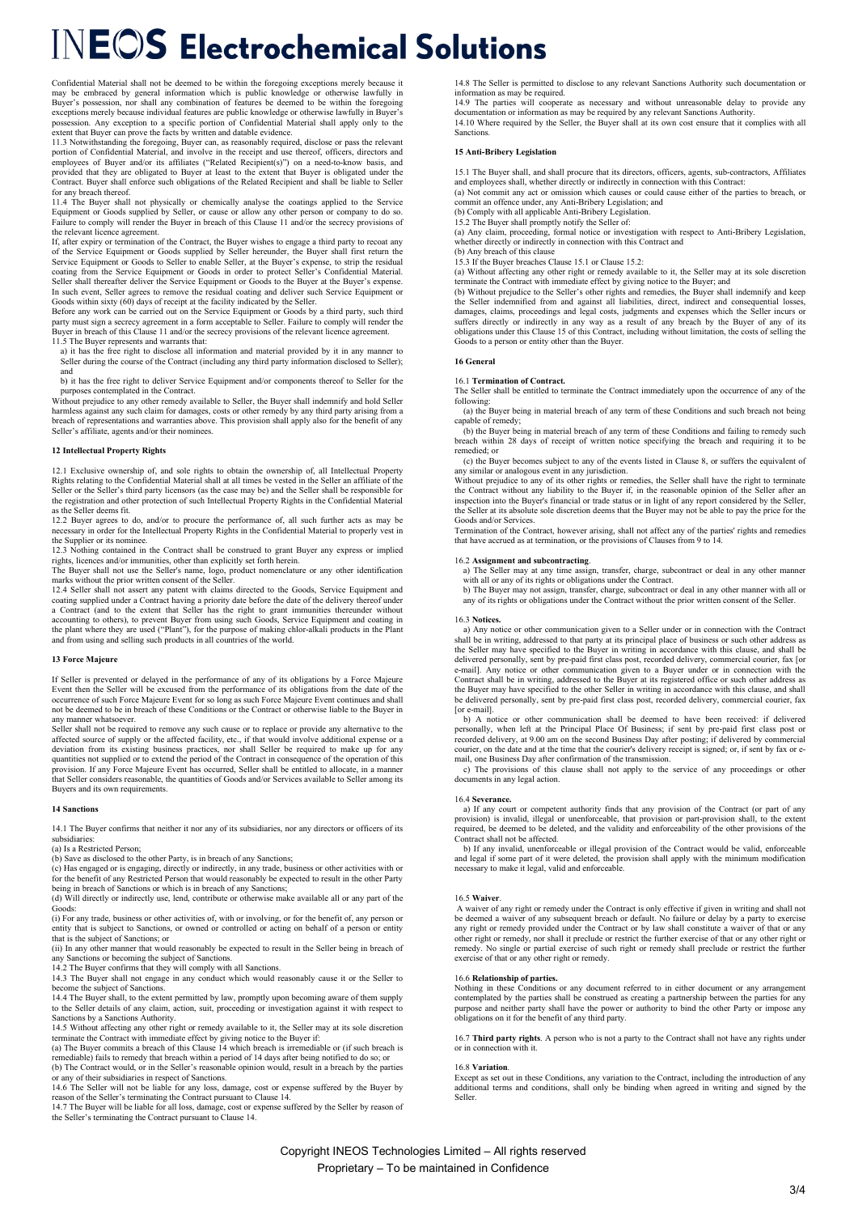Confidential Material shall not be deemed to be within the foregoing exceptions merely because it<br>may be embraced by general information which is public knowledge or otherwise lawfully in<br>Buyer's possession, nor shall any exceptions merely because individual features are public knowledge or otherwise lawfully in Buyer's possession. Any exception to a specific portion of Confidential Material shall apply only to the extent that Buyer can prove the facts by written and datable evidence.

11.3 Notwithstanding the foregoing, Buyer can, as reasonably required, disclose or pass the relevant<br>portion of Confidential Material, and involve in the receipt and use thereof, officers, directors and<br>employees of Buyer provided that they are obligated to Buyer at least to the extent that Buyer is obligated under the Contract. Buyer shall enforce such obligations of the Related Recipient and shall be liable to Seller for any breach thereof.

11.4 The Buyer shall not physically or chemically analyse the coatings applied to the Service Equipment or Goods supplied by Seller, or cause or allow any other person or company to do so. Failure to comply will render the Buyer in breach of this Clause 11 and/or the secrecy provisions of the relevant licence agreement.

If, after expiry or termination of the Contract, the Buyer wishes to engage a third party to recoat any of the Service Equipment or Goods supplied by Seller hereunder, the Buyer shall first return the Service Equipment or Goods to Seller to enable Seller, at the Buyer's expense, to strip the residual coating from the Service In such event, Seller agrees to remove the residual coating and deliver such Service Equipment or

Goods within sixty (60) days of receipt at the facility indicated by the Seller. Before any work can be carried out on the Service Equipment or Goods by a third party, such third party must sign a secrecy agreement in a form acceptable to Seller. Failure to comply will render the Buyer in breach of this Clause 11 and/or the secrecy provisions of the relevant licence agreement.

11.5 The Buyer represents and warrants that: a) it has the free right to disclose all information and material provided by it in any manner to Seller during the course of the Contract (including any third party information disclosed to Seller); and

b) it has the free right to deliver Service Equipment and/or components thereof to Seller for the

purposes contemplated in the Contract. Without prejudice to any other remedy available to Seller, the Buyer shall indemnify and hold Seller harmless against any such claim for damages, costs or other remedy by any third party arising from a breach of representations and warranties above. This provision shall apply also for the benefit of any Seller's affiliate, agents and/or their nominees.

# **12 Intellectual Property Rights**

12.1 Exclusive ownership of, and sole rights to obtain the ownership of, all Intellectual Property Rights relating to the Confidential Material shall at all times be vested in the Seller an affiliate of the Seller or the Seller's third party licensors (as the case may be) and the Seller shall be responsible for the registration and other protection of such Intellectual Property Rights in the Confidential Material as the Seller deems fit.

12.2 Buyer agrees to do, and/or to procure the performance of, all such further acts as may be necessary in order for the Intellectual Property Rights in the Confidential Material to properly vest in the Supplier or its nominee

12.3 Nothing contained in the Contract shall be construed to grant Buyer any express or implied

rights, licences and/or immunities, other than explicitly set forth herein.<br>The Buyer shall not use the Seller's name, logo, product nomenclature or any other identification<br>marks without the prior written consent of the S

12.4 Seller shall not assert any patent with claims directed to the Goods, Service Equipment and coating supplied under a Contract having a priority date before the date of the delivery thereof under<br>a Contract (and to the extent that Seller has the right to grant immunities thereunder without<br>accounting to others), t the plant where they are used ("Plant"), for the purpose of making chlor-alkali products in the Plant and from using and selling such products in all countries of the world.

## **13 Force Majeure**

If Seller is prevented or delayed in the performance of any of its obligations by a Force Majeure Event then the Seller will be excused from the performance of its obligations from the date of the occurrence of such Force Majeure Event for so long as such Force Majeure Event continues and shall not be deemed to be in breach of these Conditions or the Contract or otherwise liable to the Buyer in any manner whatsoever.

Seller shall not be required to remove any such cause or to replace or provide any alternative to the affected source of supply or the affected facility, etc., if that would involve additional expense or a deviation from its existing business practices, nor shall Seller be required to make up for any quantities not supplied or to extend the period of the Contract in consequence of the operation of this provision. If any Force Majeure Event has occurred, Seller shall be entitled to allocate, in a manner that Seller considers reasonable, the quantities of Goods and/or Services available to Seller among its Buyers and its own requirements.

### **14 Sanctions**

14.1 The Buyer confirms that neither it nor any of its subsidiaries, nor any directors or officers of its subsidiaries:

(a) Is a Restricted Person;

(b) Save as disclosed to the other Party, is in breach of any Sanctions;

(c) Has engaged or is engaging, directly or indirectly, in any trade, business or other activities with or for the benefit of any Restricted Person that would reasonably be expected to result in the other Party

being in breach of Sanctions or which is in breach of any Sanctions; (d) Will directly or indirectly use, lend, contribute or otherwise make available all or any part of the Goods:

(i) For any trade, business or other activities of, with or involving, or for the benefit of, any person or entity that is subject to Sanctions, or owned or controlled or acting on behalf of a person or entity

that is the subject of Sanctions; or (ii) In any other manner that would reasonably be expected to result in the Seller being in breach of any Sanctions or becoming the subject of Sanctions. 14.2 The Buyer confirms that they will comply with all Sanctions.

14.3 The Buyer shall not engage in any conduct which would reasonably cause it or the Seller to become the subject of Sanctions.

14.4 The Buyer shall, to the extent permitted by law, promptly upon becoming aware of them supply to the Seller details of any claim, action, suit, proceeding or investigation against it with respect to Sanctions by a Sanctions Authority.

14.5 Without affecting any other right or remedy available to it, the Seller may at its sole discretion terminate the Contract with immediate effect by giving notice to the Buyer if: (a) The Buyer commits a breach of this Clause 14 which breach is irremediable or (if such breach is

remediable) fails to remedy that breach within a period of 14 days after being notified to do so; or (b) The Contract would, or in the Seller's reasonable opinion would, result in a breach by the parties

or any of their subsidiaries in respect of Sanctions.<br>14.6 The Seller will not be liable for any loss, damage, cost or expense suffered by the Buyer by<br>reason of the Seller's terminating the Contract pursuant to Clause 14.

14.7 The Buyer will be liable for all loss, damage, cost or expense suffered by the Seller by reason of the Seller's terminating the Contract pursuant to Clause 14.

14.8 The Seller is permitted to disclose to any relevant Sanctions Authority such documentation or information as may be required.

14.9 The parties will cooperate as necessary and without unreasonable delay to provide any documentation or information as may be required by any relevant Sanctions Authority. 14.10 Where required by the Seller, the Buyer shall at its own cost ensure that it complies with all Sanctions.

# **15 Anti-Bribery Legislation**

15.1 The Buyer shall, and shall procure that its directors, officers, agents, sub-contractors, Affiliates and employees shall, whether directly or indirectly in connection with this Contract:

(a) Not commit any act or omission which causes or could cause either of the parties to breach, or commit an offence under, any Anti-Bribery Legislation; and

(b) Comply with all applicable Anti-Bribery Legislation. 15.2 The Buyer shall promptly notify the Seller of: (a) Any claim, proceeding, formal notice or investigation with respect to Anti-Bribery Legislation, whether directly or indirectly in connection with this Contract and (b) Any breach of this clause

15.3 If the Buyer breaches Clause 15.1 or Clause 15.2:

(a) Without affecting any other right or remedy available to it, the Seller may at its sole discretion<br>terminate the Contract with immediate effect by giving notice to the Buyer; and<br>(b) Without prejudice to the Seller's o

the Seller indemnified from and against all liabilities, direct, indirect and consequential losses, damages, claims, proceedings and legal costs, judgments and expenses which the Seller incurs or suffers directly or indirectly in any way as a result of any breach by the Buyer of any of its obligations under this Clause 15 of this Contract, including without limitation, the costs of selling the Goods to a person or entity other than the Buyer.

# **16 General**

16.1 **Termination of Contract.** The Seller shall be entitled to terminate the Contract immediately upon the occurrence of any of the following:

 (a) the Buyer being in material breach of any term of these Conditions and such breach not being capable of remedy;

 (b) the Buyer being in material breach of any term of these Conditions and failing to remedy such breach within 28 days of receipt of written notice specifying the breach and requiring it to be remedied; or

 (c) the Buyer becomes subject to any of the events listed in Clause 8, or suffers the equivalent of any similar or analogous event in any jurisdiction.

Without prejudice to any of its other rights or remedies, the Seller shall have the right to terminate the Contract without any liability to the Buyer if, in the reasonable opinion of the Seller after an inspection into the Buyer's financial or trade status or in light of any report considered by the Seller, the Seller at its absolute sole discretion deems that the Buyer may not be able to pay the price for the Goods and/or Services.

Termination of the Contract, however arising, shall not affect any of the parties' rights and remedies that have accrued as at termination, or the provisions of Clauses from 9 to 14.

## 16.2 **Assignment and subcontracting**.

a) The Seller may at any time assign, transfer, charge, subcontract or deal in any other manner with all or any of its rights or obligations under the Contract.

b) The Buyer may not assign, transfer, charge, subcontract or deal in any other manner with all or any of its rights or obligations under the Contract without the prior written consent of the Seller.

# 16.3 **Notices.**

 a) Any notice or other communication given to a Seller under or in connection with the Contract shall be in writing, addressed to that party at its principal place of business or such other address as the Seller may have specified to the Buyer in writing in accordance with this clause, and shall be delivered personally, sent by pre-paid first class post, recorded delivery, commercial courier, fax [or e-mail]. Any notice or other communication given to a Buyer under or in connection with the Contract shall be in writing, addressed to the Buyer at its registered office or such other address as the Buyer may have specified to the other Seller in writing in accordance with this clause, and shall be delivered personally, sent by pre-paid first class post, recorded delivery, commercial courier, fax [or e-mail].

 b) A notice or other communication shall be deemed to have been received: if delivered personally, when left at the Principal Place Of Business; if sent by pre-paid first class post or recorded delivery, at 9.00 am on the second Business Day after posting; if delivered by commercial courier, on the date and at the time that the courier's delivery receipt is signed; or, if sent by fax or e-

mail, one Business Day after confirmation of the transmission.<br>
c) The provisions of this clause shall not apply to the service of any proceedings or other documents in any legal action.

#### 16.4 **Severance.**

 a) If any court or competent authority finds that any provision of the Contract (or part of any provision) is invalid, illegal or unenforceable, that provision or part-provision shall, to the extent required, be deemed to be deleted, and the validity and enforceability of the other provisions of the Contract shall not be affected.

 b) If any invalid, unenforceable or illegal provision of the Contract would be valid, enforceable and legal if some part of it were deleted, the provision shall apply with the minimum modification necessary to make it legal, valid and enforceable.

#### 16.5 **Waiver**.

A waiver of any right or remedy under the Contract is only effective if given in writing and shall not be deemed a waiver of any subsequent breach or default. No failure or delay by a party to exercise any right or remedy provided under the Contract or by law shall constitute a waiver of that or any other right or remedy, nor shall it preclude or restrict the further exercise of that or any other right or remedy. No single or partial exercise of such right or remedy shall preclude or restrict the further exercise of that or any other right or remedy.

# 16.6 **Relationship of parties.**

Nothing in these Conditions or any document referred to in either document or any arrangement contemplated by the parties shall be construed as creating a partnership between the parties for any purpose and neither party shall have the power or authority to bind the other Party or impose any obligations on it for the benefit of any third party.

16.7 **Third party rights**. A person who is not a party to the Contract shall not have any rights under or in connection with it.

## 16.8 **Variation**.

Except as set out in these Conditions, any variation to the Contract, including the introduction of any additional terms and conditions, shall only be binding when agreed in writing and signed by the Seller.

Copyright INEOS Technologies Limited – All rights reserved Proprietary – To be maintained in Confidence